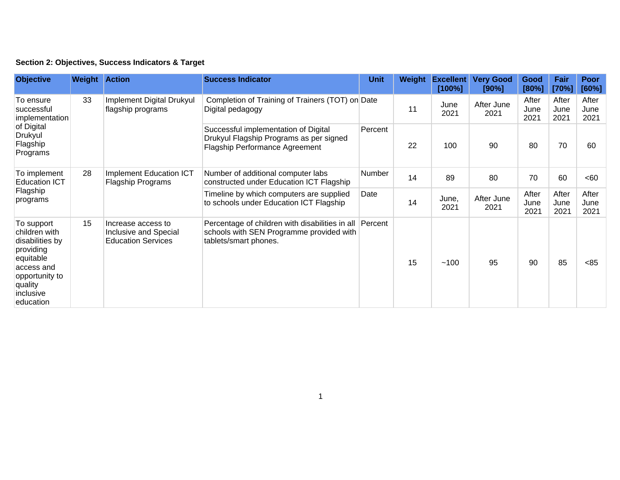## **Section 2: Objectives, Success Indicators & Target**

| <b>Objective</b>                                                                                                                              | <b>Weight Action</b> |                                                                          | <b>Success Indicator</b>                                                                                                 | <b>Unit</b>   | Weight | <b>Excellent</b><br>[100%] | <b>Very Good</b><br>[90%] | Good<br>[80%]         | Fair<br>[70%]         | <b>Poor</b><br>[60%]  |
|-----------------------------------------------------------------------------------------------------------------------------------------------|----------------------|--------------------------------------------------------------------------|--------------------------------------------------------------------------------------------------------------------------|---------------|--------|----------------------------|---------------------------|-----------------------|-----------------------|-----------------------|
| To ensure<br>successful<br>implementation<br>of Digital<br>Drukyul<br>Flagship<br>Programs                                                    | 33                   | <b>Implement Digital Drukyul</b><br>flagship programs                    | Completion of Training of Trainers (TOT) on Date<br>Digital pedagogy                                                     |               | 11     | June<br>2021               | After June<br>2021        | After<br>June<br>2021 | After<br>June<br>2021 | After<br>June<br>2021 |
|                                                                                                                                               |                      |                                                                          | Successful implementation of Digital<br>Drukyul Flagship Programs as per signed<br><b>Flagship Performance Agreement</b> | Percent       | 22     | 100                        | 90                        | 80                    | 70                    | 60                    |
| To implement<br><b>Education ICT</b><br>Flagship<br>programs                                                                                  | 28                   | Implement Education ICT<br><b>Flagship Programs</b>                      | Number of additional computer labs<br>constructed under Education ICT Flagship                                           | <b>Number</b> | 14     | 89                         | 80                        | 70                    | 60                    | <60                   |
|                                                                                                                                               |                      |                                                                          | Timeline by which computers are supplied<br>to schools under Education ICT Flagship                                      | Date          | 14     | June,<br>2021              | After June<br>2021        | After<br>June<br>2021 | After<br>June<br>2021 | After<br>June<br>2021 |
| To support<br>children with<br>disabilities by<br>providing<br>equitable<br>access and<br>opportunity to<br>quality<br>inclusive<br>education | 15                   | Increase access to<br>Inclusive and Special<br><b>Education Services</b> | Percentage of children with disabilities in all<br>schools with SEN Programme provided with<br>tablets/smart phones.     | Percent       | 15     | ~100                       | 95                        | 90                    | 85                    | <85                   |